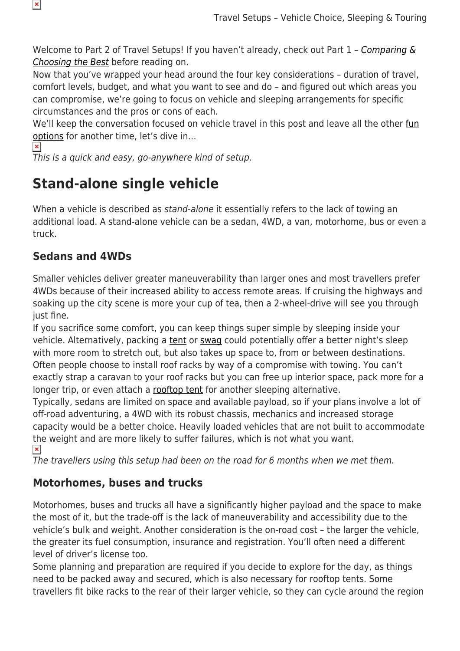Welcome to Part 2 of Travel Setups! If you haven't already, check out Part  $1$  - Comparing  $\&$ [Choosing the Best](https://www.snowys.com.au/blog/travel-setups-comparing-and-choosing-the-best/) before reading on.

Now that you've wrapped your head around the four key considerations – duration of travel, comfort levels, budget, and what you want to see and do – and figured out which areas you can compromise, we're going to focus on vehicle and sleeping arrangements for specific circumstances and the pros or cons of each.

We'll keep the conversation focused on vehicle travel in this post and leave all the other [fun](https://www.snowys.com.au/blog/best-optional-gear-cycle-touring/) [options](https://www.snowys.com.au/blog/best-optional-gear-cycle-touring/) for another time, let's dive in…

 $\pmb{\times}$ 

 $\pmb{\times}$ 

This is a quick and easy, go-anywhere kind of setup.

## **Stand-alone single vehicle**

When a vehicle is described as stand-alone it essentially refers to the lack of towing an additional load. A stand-alone vehicle can be a sedan, 4WD, a van, motorhome, bus or even a truck.

#### **Sedans and 4WDs**

Smaller vehicles deliver greater maneuverability than larger ones and most travellers prefer 4WDs because of their increased ability to access remote areas. If cruising the highways and soaking up the city scene is more your cup of tea, then a 2-wheel-drive will see you through just fine.

If you sacrifice some comfort, you can keep things super simple by sleeping inside your vehicle. Alternatively, packing a [tent](https://www.snowys.com.au/camping-tents) or [swag](https://www.snowys.com.au/swags) could potentially offer a better night's sleep with more room to stretch out, but also takes up space to, from or between destinations. Often people choose to install roof racks by way of a compromise with towing. You can't exactly strap a caravan to your roof racks but you can free up interior space, pack more for a longer trip, or even attach a [rooftop tent](https://www.snowys.com.au/awnings-rooftop-tents) for another sleeping alternative.

Typically, sedans are limited on space and available payload, so if your plans involve a lot of off-road adventuring, a 4WD with its robust chassis, mechanics and increased storage capacity would be a better choice. Heavily loaded vehicles that are not built to accommodate the weight and are more likely to suffer failures, which is not what you want.  $\pmb{\times}$ 

The travellers using this setup had been on the road for 6 months when we met them.

#### **Motorhomes, buses and trucks**

Motorhomes, buses and trucks all have a significantly higher payload and the space to make the most of it, but the trade-off is the lack of maneuverability and accessibility due to the vehicle's bulk and weight. Another consideration is the on-road cost – the larger the vehicle, the greater its fuel consumption, insurance and registration. You'll often need a different level of driver's license too.

Some planning and preparation are required if you decide to explore for the day, as things need to be packed away and secured, which is also necessary for rooftop tents. Some travellers fit bike racks to the rear of their larger vehicle, so they can cycle around the region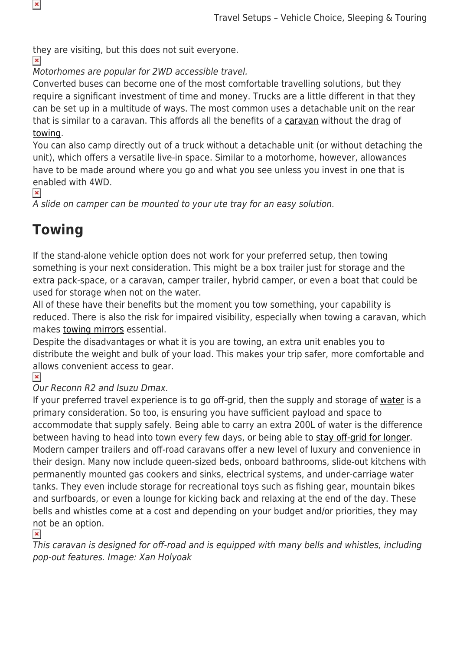they are visiting, but this does not suit everyone.

 $\pmb{\times}$ 

 $\pmb{\times}$ 

Motorhomes are popular for 2WD accessible travel.

Converted buses can become one of the most comfortable travelling solutions, but they require a significant investment of time and money. Trucks are a little different in that they can be set up in a multitude of ways. The most common uses a detachable unit on the rear that is similar to a caravan. This affords all the benefits of a [caravan](https://www.snowys.com.au/caravan-equipment) without the drag of [towing.](https://www.snowys.com.au/blog/4wd-towing-guide/)

You can also camp directly out of a truck without a detachable unit (or without detaching the unit), which offers a versatile live-in space. Similar to a motorhome, however, allowances have to be made around where you go and what you see unless you invest in one that is enabled with 4WD.

 $\pmb{\times}$ 

A slide on camper can be mounted to your ute tray for an easy solution.

## **Towing**

If the stand-alone vehicle option does not work for your preferred setup, then towing something is your next consideration. This might be a box trailer just for storage and the extra pack-space, or a caravan, camper trailer, hybrid camper, or even a boat that could be used for storage when not on the water.

All of these have their benefits but the moment you tow something, your capability is reduced. There is also the risk for impaired visibility, especially when towing a caravan, which makes [towing mirrors](https://www.snowys.com.au/milenco) essential.

Despite the disadvantages or what it is you are towing, an extra unit enables you to distribute the weight and bulk of your load. This makes your trip safer, more comfortable and allows convenient access to gear.<br> $\overline{\mathbf{x}}$ 

Our Reconn R2 and Isuzu Dmax.

If your preferred travel experience is to go off-grid, then the supply and storage of [water](https://www.snowys.com.au/blog/how-to-save-water-when-camping/) is a primary consideration. So too, is ensuring you have sufficient payload and space to accommodate that supply safely. Being able to carry an extra 200L of water is the difference between having to head into town every few days, or being able to [stay off-grid for longer.](https://www.snowys.com.au/blog/caravan-off-grid-guide/) Modern camper trailers and off-road caravans offer a new level of luxury and convenience in their design. Many now include queen-sized beds, onboard bathrooms, slide-out kitchens with permanently mounted gas cookers and sinks, electrical systems, and under-carriage water tanks. They even include storage for recreational toys such as fishing gear, mountain bikes and surfboards, or even a lounge for kicking back and relaxing at the end of the day. These bells and whistles come at a cost and depending on your budget and/or priorities, they may not be an option.

 $\pmb{\times}$ 

This caravan is designed for off-road and is equipped with many bells and whistles, including pop-out features. Image: Xan Holyoak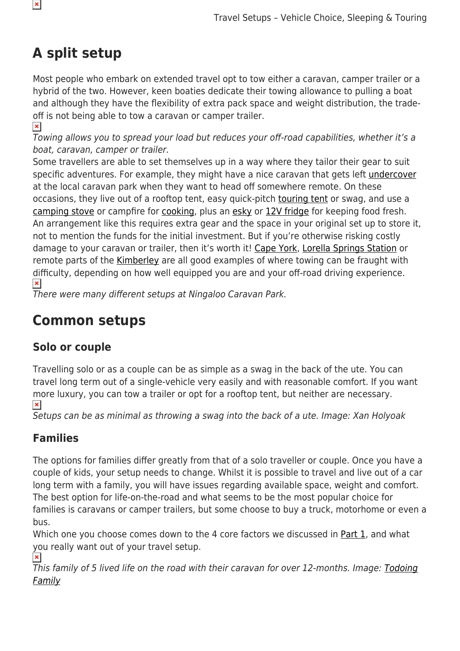# **A split setup**

Most people who embark on extended travel opt to tow either a caravan, camper trailer or a hybrid of the two. However, keen boaties dedicate their towing allowance to pulling a boat and although they have the flexibility of extra pack space and weight distribution, the tradeoff is not being able to tow a caravan or camper trailer.

 $\pmb{\times}$ Towing allows you to spread your load but reduces your off-road capabilities, whether it's a boat, caravan, camper or trailer.

Some travellers are able to set themselves up in a way where they tailor their gear to suit specific adventures. For example, they might have a nice caravan that gets left [undercover](https://www.snowys.com.au/premier) at the local caravan park when they want to head off somewhere remote. On these occasions, they live out of a rooftop tent, easy quick-pitch [touring tent](https://www.snowys.com.au/blog/best-4wd-touring-tents/) or swag, and use a [camping stove](https://www.snowys.com.au/camping-stoves) or campfire for [cooking,](https://www.snowys.com.au/campfire-cooking-equipment) plus an [esky](https://www.snowys.com.au/evakool) or [12V fridge](https://www.snowys.com.au/portable-fridges) for keeping food fresh. An arrangement like this requires extra gear and the space in your original set up to store it, not to mention the funds for the initial investment. But if you're otherwise risking costly damage to your caravan or trailer, then it's worth it! [Cape York,](https://www.snowys.com.au/blog/planning-your-trip-cape-york/) [Lorella Springs Station](https://www.snowys.com.au/blog/lorella-springs-camping-station/) or remote parts of the [Kimberley](https://www.snowys.com.au/blog/why-the-kimberley-is-the-best-camping-in-australia/) are all good examples of where towing can be fraught with difficulty, depending on how well equipped you are and your off-road driving experience.  $\pmb{\times}$ 

There were many different setups at Ningaloo Caravan Park.

# **Common setups**

#### **Solo or couple**

Travelling solo or as a couple can be as simple as a swag in the back of the ute. You can travel long term out of a single-vehicle very easily and with reasonable comfort. If you want more luxury, you can tow a trailer or opt for a rooftop tent, but neither are necessary.  $\pmb{\times}$ 

Setups can be as minimal as throwing a swag into the back of a ute. Image: Xan Holyoak

#### **Families**

The options for families differ greatly from that of a solo traveller or couple. Once you have a couple of kids, your setup needs to change. Whilst it is possible to travel and live out of a car long term with a family, you will have issues regarding available space, weight and comfort. The best option for life-on-the-road and what seems to be the most popular choice for families is caravans or camper trailers, but some choose to buy a truck, motorhome or even a bus.

Which one you choose comes down to the 4 core factors we discussed in [Part 1](https://www.snowys.com.au/blog/travel-setups-comparing-and-choosing-the-best/), and what you really want out of your travel setup.

 $\pmb{\times}$ This family of 5 lived life on the road with their caravan for over 12-months. Image: [Todoing](https://www.snowys.com.au/blog/authors/todoing-family/) [Family](https://www.snowys.com.au/blog/authors/todoing-family/)